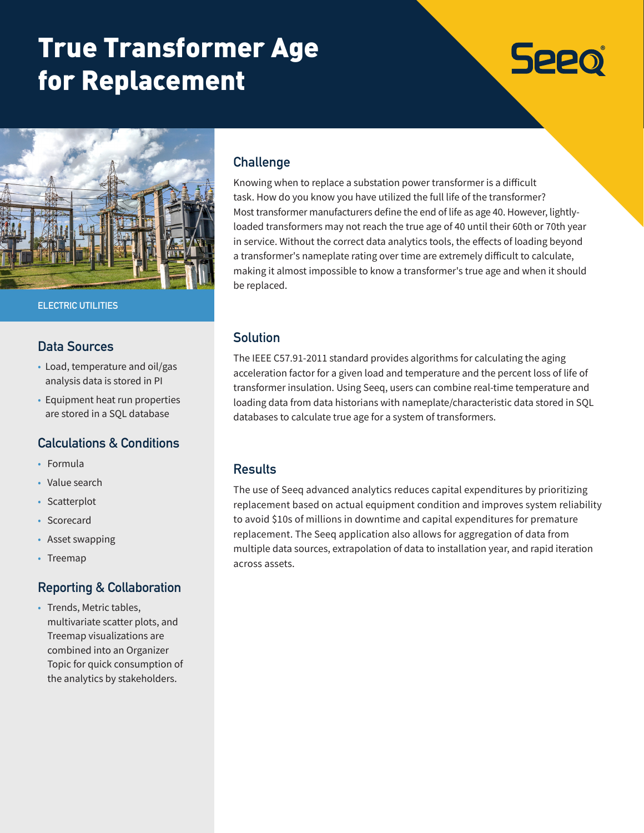# True Transformer Age for Replacement

# **Seeo**



**ELECTRIC UTILITIES**

#### **Data Sources**

- Load, temperature and oil/gas analysis data is stored in PI
- Equipment heat run properties are stored in a SQL database

## **Calculations & Conditions**

- Formula
- Value search
- Scatterplot
- Scorecard
- Asset swapping
- Treemap

#### **Reporting & Collaboration**

• Trends, Metric tables, multivariate scatter plots, and Treemap visualizations are combined into an Organizer Topic for quick consumption of the analytics by stakeholders.

#### **Challenge**

Knowing when to replace a substation power transformer is a difficult task. How do you know you have utilized the full life of the transformer? Most transformer manufacturers define the end of life as age 40. However, lightlyloaded transformers may not reach the true age of 40 until their 60th or 70th year in service. Without the correct data analytics tools, the effects of loading beyond a transformer's nameplate rating over time are extremely difficult to calculate, making it almost impossible to know a transformer's true age and when it should be replaced.

#### **Solution**

The IEEE C57.91-2011 standard provides algorithms for calculating the aging acceleration factor for a given load and temperature and the percent loss of life of transformer insulation. Using Seeq, users can combine real-time temperature and loading data from data historians with nameplate/characteristic data stored in SQL databases to calculate true age for a system of transformers.

#### **Results**

The use of Seeq advanced analytics reduces capital expenditures by prioritizing replacement based on actual equipment condition and improves system reliability to avoid \$10s of millions in downtime and capital expenditures for premature replacement. The Seeq application also allows for aggregation of data from multiple data sources, extrapolation of data to installation year, and rapid iteration across assets.